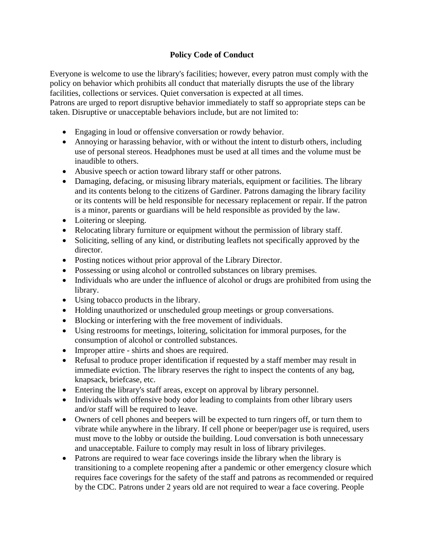## **Policy Code of Conduct**

Everyone is welcome to use the library's facilities; however, every patron must comply with the policy on behavior which prohibits all conduct that materially disrupts the use of the library facilities, collections or services. Quiet conversation is expected at all times.

Patrons are urged to report disruptive behavior immediately to staff so appropriate steps can be taken. Disruptive or unacceptable behaviors include, but are not limited to:

- Engaging in loud or offensive conversation or rowdy behavior.
- Annoying or harassing behavior, with or without the intent to disturb others, including use of personal stereos. Headphones must be used at all times and the volume must be inaudible to others.
- Abusive speech or action toward library staff or other patrons.
- Damaging, defacing, or misusing library materials, equipment or facilities. The library and its contents belong to the citizens of Gardiner. Patrons damaging the library facility or its contents will be held responsible for necessary replacement or repair. If the patron is a minor, parents or guardians will be held responsible as provided by the law.
- Loitering or sleeping.
- Relocating library furniture or equipment without the permission of library staff.
- Soliciting, selling of any kind, or distributing leaflets not specifically approved by the director.
- Posting notices without prior approval of the Library Director.
- Possessing or using alcohol or controlled substances on library premises.
- Individuals who are under the influence of alcohol or drugs are prohibited from using the library.
- Using tobacco products in the library.
- Holding unauthorized or unscheduled group meetings or group conversations.
- Blocking or interfering with the free movement of individuals.
- Using restrooms for meetings, loitering, solicitation for immoral purposes, for the consumption of alcohol or controlled substances.
- Improper attire shirts and shoes are required.
- Refusal to produce proper identification if requested by a staff member may result in immediate eviction. The library reserves the right to inspect the contents of any bag, knapsack, briefcase, etc.
- Entering the library's staff areas, except on approval by library personnel.
- Individuals with offensive body odor leading to complaints from other library users and/or staff will be required to leave.
- Owners of cell phones and beepers will be expected to turn ringers off, or turn them to vibrate while anywhere in the library. If cell phone or beeper/pager use is required, users must move to the lobby or outside the building. Loud conversation is both unnecessary and unacceptable. Failure to comply may result in loss of library privileges.
- Patrons are required to wear face coverings inside the library when the library is transitioning to a complete reopening after a pandemic or other emergency closure which requires face coverings for the safety of the staff and patrons as recommended or required by the CDC. Patrons under 2 years old are not required to wear a face covering. People